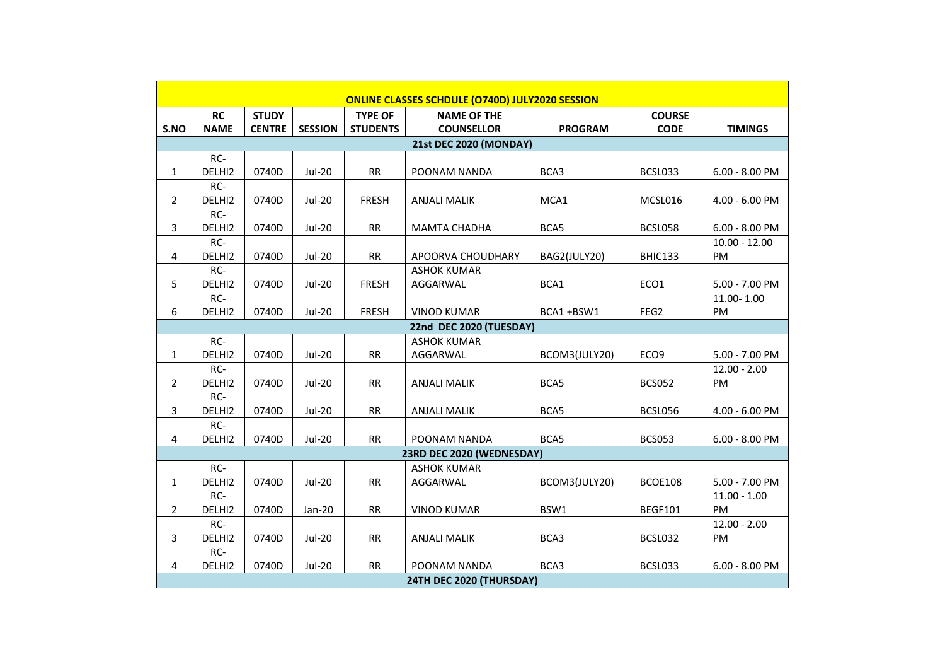| ONLINE CLASSES SCHDULE (0740D) JULY2020 SESSION |                               |               |                |                 |                     |                |                  |                  |  |  |
|-------------------------------------------------|-------------------------------|---------------|----------------|-----------------|---------------------|----------------|------------------|------------------|--|--|
|                                                 | <b>RC</b>                     | <b>STUDY</b>  |                | <b>TYPE OF</b>  | <b>NAME OF THE</b>  |                | <b>COURSE</b>    |                  |  |  |
| S.NO                                            | <b>NAME</b>                   | <b>CENTRE</b> | <b>SESSION</b> | <b>STUDENTS</b> | <b>COUNSELLOR</b>   | <b>PROGRAM</b> | <b>CODE</b>      | <b>TIMINGS</b>   |  |  |
|                                                 | <b>21st DEC 2020 (MONDAY)</b> |               |                |                 |                     |                |                  |                  |  |  |
|                                                 | RC-                           |               |                |                 |                     |                |                  |                  |  |  |
| 1                                               | DELHI2                        | 0740D         | Jul-20         | <b>RR</b>       | POONAM NANDA        | BCA3           | BCSL033          | $6.00 - 8.00$ PM |  |  |
|                                                 | RC-                           |               |                |                 |                     |                |                  |                  |  |  |
| $\overline{2}$                                  | DELHI2                        | 0740D         | Jul-20         | <b>FRESH</b>    | <b>ANJALI MALIK</b> | MCA1           | MCSL016          | $4.00 - 6.00$ PM |  |  |
|                                                 | RC-                           |               |                |                 |                     |                |                  |                  |  |  |
| 3                                               | DELHI2                        | 0740D         | <b>Jul-20</b>  | <b>RR</b>       | <b>MAMTA CHADHA</b> | BCA5           | BCSL058          | $6.00 - 8.00$ PM |  |  |
|                                                 | RC-                           |               |                |                 |                     |                |                  | $10.00 - 12.00$  |  |  |
| 4                                               | DELHI2                        | 0740D         | Jul-20         | <b>RR</b>       | APOORVA CHOUDHARY   | BAG2(JULY20)   | BHIC133          | <b>PM</b>        |  |  |
|                                                 | RC-                           |               |                |                 | <b>ASHOK KUMAR</b>  |                |                  |                  |  |  |
| 5                                               | DELHI2                        | 0740D         | Jul-20         | <b>FRESH</b>    | AGGARWAL            | BCA1           | ECO1             | $5.00 - 7.00$ PM |  |  |
|                                                 | RC-                           |               |                |                 |                     |                |                  | 11.00-1.00       |  |  |
| 6                                               | DELHI2                        | 0740D         | Jul-20         | FRESH           | <b>VINOD KUMAR</b>  | BCA1+BSW1      | FEG2             | PM               |  |  |
|                                                 | 22nd DEC 2020 (TUESDAY)       |               |                |                 |                     |                |                  |                  |  |  |
|                                                 | RC-                           |               |                |                 | <b>ASHOK KUMAR</b>  |                |                  |                  |  |  |
| $\mathbf{1}$                                    | DELHI2                        | 0740D         | Jul-20         | <b>RR</b>       | AGGARWAL            | BCOM3(JULY20)  | ECO <sub>9</sub> | 5.00 - 7.00 PM   |  |  |
|                                                 | RC-                           |               |                |                 |                     |                |                  | $12.00 - 2.00$   |  |  |
| $\overline{2}$                                  | DELHI2                        | 0740D         | Jul-20         | <b>RR</b>       | <b>ANJALI MALIK</b> | BCA5           | <b>BCS052</b>    | <b>PM</b>        |  |  |
|                                                 | RC-                           |               |                |                 |                     |                |                  |                  |  |  |
| 3                                               | DELHI2                        | 0740D         | Jul-20         | RR              | <b>ANJALI MALIK</b> | BCA5           | BCSL056          | 4.00 - 6.00 PM   |  |  |
|                                                 | RC-                           |               |                |                 |                     |                |                  |                  |  |  |
| 4                                               | DELHI2                        | 0740D         | Jul-20         | <b>RR</b>       | POONAM NANDA        | BCA5           | <b>BCS053</b>    | $6.00 - 8.00$ PM |  |  |
| 23RD DEC 2020 (WEDNESDAY)                       |                               |               |                |                 |                     |                |                  |                  |  |  |
|                                                 | RC-                           |               |                |                 | <b>ASHOK KUMAR</b>  |                |                  |                  |  |  |
| 1                                               | DELHI2                        | 0740D         | Jul-20         | <b>RR</b>       | AGGARWAL            | BCOM3(JULY20)  | BCOE108          | 5.00 - 7.00 PM   |  |  |
|                                                 | RC-                           |               |                |                 |                     |                |                  | $11.00 - 1.00$   |  |  |
| $\overline{2}$                                  | DELHI2                        | 0740D         | Jan-20         | <b>RR</b>       | <b>VINOD KUMAR</b>  | BSW1           | <b>BEGF101</b>   | PM               |  |  |
|                                                 | RC-                           |               |                |                 |                     |                |                  | $12.00 - 2.00$   |  |  |
| 3                                               | DELHI2                        | 0740D         | Jul-20         | <b>RR</b>       | <b>ANJALI MALIK</b> | BCA3           | BCSL032          | PM               |  |  |
|                                                 | RC-                           |               |                |                 |                     |                |                  |                  |  |  |
| 4                                               | DELHI2                        | 0740D         | Jul-20         | RR              | POONAM NANDA        | BCA3           | BCSL033          | $6.00 - 8.00$ PM |  |  |
| 24TH DEC 2020 (THURSDAY)                        |                               |               |                |                 |                     |                |                  |                  |  |  |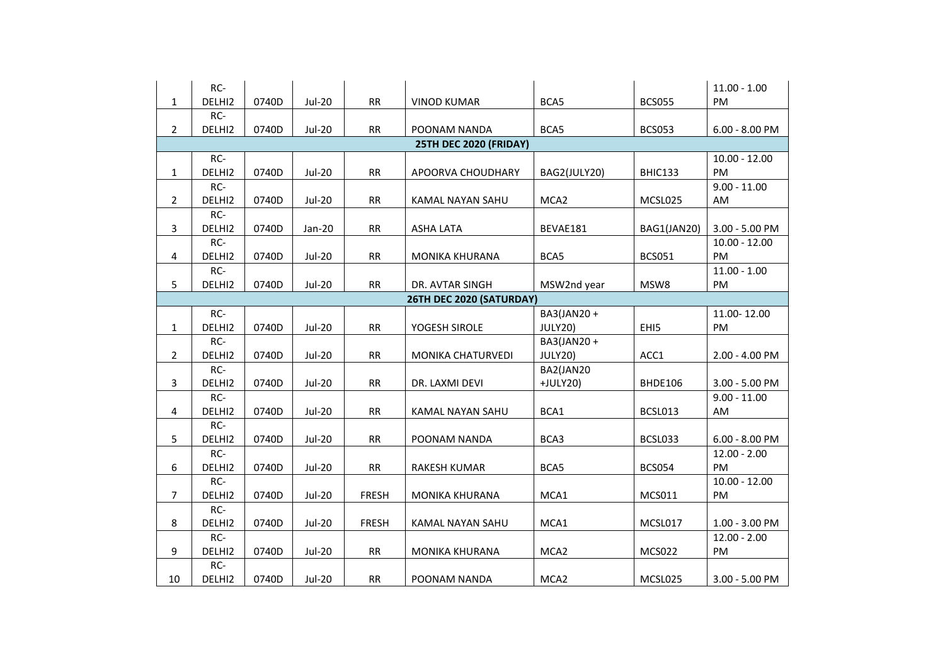|                | RC-                      |       |               |              |                        |                  |               | $11.00 - 1.00$   |  |  |
|----------------|--------------------------|-------|---------------|--------------|------------------------|------------------|---------------|------------------|--|--|
| 1              | DELHI2                   | 0740D | <b>Jul-20</b> | RR           | <b>VINOD KUMAR</b>     | BCA5             | <b>BCS055</b> | PM               |  |  |
|                | RC-                      |       |               |              |                        |                  |               |                  |  |  |
| $\overline{2}$ | DELHI2                   | 0740D | <b>Jul-20</b> | RR           | POONAM NANDA           | BCA5             | <b>BCS053</b> | $6.00 - 8.00$ PM |  |  |
|                |                          |       |               |              | 25TH DEC 2020 (FRIDAY) |                  |               |                  |  |  |
|                | RC-                      |       |               |              |                        |                  |               | $10.00 - 12.00$  |  |  |
| $\mathbf{1}$   | DELHI2                   | 0740D | <b>Jul-20</b> | RR           | APOORVA CHOUDHARY      | BAG2(JULY20)     | BHIC133       | PM               |  |  |
|                | RC-                      |       |               |              |                        |                  |               | $9.00 - 11.00$   |  |  |
| $\overline{2}$ | DELHI2                   | 0740D | <b>Jul-20</b> | RR           | KAMAL NAYAN SAHU       | MCA <sub>2</sub> | MCSL025       | AM               |  |  |
|                | RC-                      |       |               |              |                        |                  |               |                  |  |  |
| 3              | DELHI2                   | 0740D | Jan-20        | RR           | <b>ASHA LATA</b>       | BEVAE181         | BAG1(JAN20)   | 3.00 - 5.00 PM   |  |  |
|                | RC-                      |       |               |              |                        |                  |               | $10.00 - 12.00$  |  |  |
| 4              | DELHI2                   | 0740D | <b>Jul-20</b> | RR           | <b>MONIKA KHURANA</b>  | BCA5             | <b>BCS051</b> | PM               |  |  |
|                | RC-                      |       |               |              |                        |                  |               | $11.00 - 1.00$   |  |  |
| 5              | DELHI2                   | 0740D | <b>Jul-20</b> | RR           | DR. AVTAR SINGH        | MSW2nd year      | MSW8          | PM               |  |  |
|                | 26TH DEC 2020 (SATURDAY) |       |               |              |                        |                  |               |                  |  |  |
|                | RC-                      |       |               |              |                        | BA3(JAN20+       |               | 11.00-12.00      |  |  |
| $\mathbf{1}$   | DELHI2                   | 0740D | <b>Jul-20</b> | RR           | YOGESH SIROLE          | JULY20)          | EHI5          | PM               |  |  |
|                | RC-                      |       |               |              |                        | BA3(JAN20+       |               |                  |  |  |
| $\overline{2}$ | DELHI2                   | 0740D | <b>Jul-20</b> | RR           | MONIKA CHATURVEDI      | JULY20)          | ACC1          | 2.00 - 4.00 PM   |  |  |
|                | RC-                      |       |               |              |                        | BA2(JAN20        |               |                  |  |  |
| 3              | DELHI2                   | 0740D | <b>Jul-20</b> | RR           | DR. LAXMI DEVI         | +JULY20)         | BHDE106       | 3.00 - 5.00 PM   |  |  |
|                | RC-                      |       |               |              |                        |                  |               | $9.00 - 11.00$   |  |  |
| 4              | DELHI2                   | 0740D | <b>Jul-20</b> | RR           | KAMAL NAYAN SAHU       | BCA1             | BCSL013       | AM               |  |  |
|                | RC-                      |       |               |              |                        |                  |               |                  |  |  |
| 5              | DELHI2                   | 0740D | <b>Jul-20</b> | <b>RR</b>    | POONAM NANDA           | BCA3             | BCSL033       | $6.00 - 8.00$ PM |  |  |
|                | RC-                      |       |               |              |                        |                  |               | $12.00 - 2.00$   |  |  |
| 6              | DELHI2                   | 0740D | <b>Jul-20</b> | RR           | RAKESH KUMAR           | BCA5             | <b>BCS054</b> | PM               |  |  |
|                | RC-                      |       |               |              |                        |                  |               | $10.00 - 12.00$  |  |  |
| $\overline{7}$ | DELHI2                   | 0740D | <b>Jul-20</b> | <b>FRESH</b> | <b>MONIKA KHURANA</b>  | MCA1             | MCS011        | PM               |  |  |
|                | RC-                      |       |               |              |                        |                  |               |                  |  |  |
| 8              | DELHI2                   | 0740D | <b>Jul-20</b> | <b>FRESH</b> | KAMAL NAYAN SAHU       | MCA1             | MCSL017       | 1.00 - 3.00 PM   |  |  |
|                | RC-                      |       |               |              |                        |                  |               | $12.00 - 2.00$   |  |  |
| 9              | DELHI2                   | 0740D | <b>Jul-20</b> | RR           | <b>MONIKA KHURANA</b>  | MCA <sub>2</sub> | <b>MCS022</b> | PM               |  |  |
|                | RC-                      |       |               |              |                        |                  |               |                  |  |  |
| 10             | DELHI2                   | 0740D | <b>Jul-20</b> | RR           | POONAM NANDA           | MCA <sub>2</sub> | MCSL025       | 3.00 - 5.00 PM   |  |  |